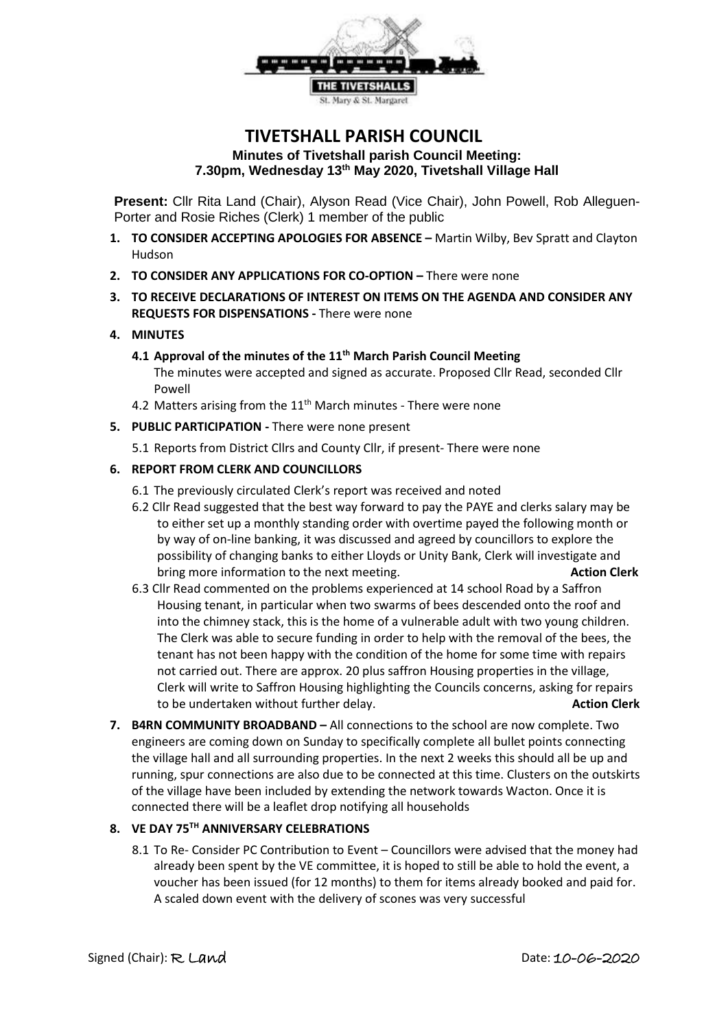

# **TIVETSHALL PARISH COUNCIL Minutes of Tivetshall parish Council Meeting: 7.30pm, Wednesday 13th May 2020, Tivetshall Village Hall**

**Present:** Cllr Rita Land (Chair), Alyson Read (Vice Chair), John Powell, Rob Alleguen-Porter and Rosie Riches (Clerk) 1 member of the public

- **1. TO CONSIDER ACCEPTING APOLOGIES FOR ABSENCE –** Martin Wilby, Bev Spratt and Clayton Hudson
- **2. TO CONSIDER ANY APPLICATIONS FOR CO-OPTION –** There were none
- **3. TO RECEIVE DECLARATIONS OF INTEREST ON ITEMS ON THE AGENDA AND CONSIDER ANY REQUESTS FOR DISPENSATIONS -** There were none

#### **4. MINUTES**

**4.1 Approval of the minutes of the 11th March Parish Council Meeting** 

The minutes were accepted and signed as accurate. Proposed Cllr Read, seconded Cllr Powell

- 4.2 Matters arising from the  $11<sup>th</sup>$  March minutes There were none
- **5. PUBLIC PARTICIPATION -** There were none present
	- 5.1 Reports from District Cllrs and County Cllr, if present- There were none

#### **6. REPORT FROM CLERK AND COUNCILLORS**

- 6.1 The previously circulated Clerk's report was received and noted
- 6.2 Cllr Read suggested that the best way forward to pay the PAYE and clerks salary may be to either set up a monthly standing order with overtime payed the following month or by way of on-line banking, it was discussed and agreed by councillors to explore the possibility of changing banks to either Lloyds or Unity Bank, Clerk will investigate and bring more information to the next meeting. **Action Clerk Action Clerk**
- 6.3 Cllr Read commented on the problems experienced at 14 school Road by a Saffron Housing tenant, in particular when two swarms of bees descended onto the roof and into the chimney stack, this is the home of a vulnerable adult with two young children. The Clerk was able to secure funding in order to help with the removal of the bees, the tenant has not been happy with the condition of the home for some time with repairs not carried out. There are approx. 20 plus saffron Housing properties in the village, Clerk will write to Saffron Housing highlighting the Councils concerns, asking for repairs to be undertaken without further delay. **Action Clerk**
- **7. B4RN COMMUNITY BROADBAND –** All connections to the school are now complete. Two engineers are coming down on Sunday to specifically complete all bullet points connecting the village hall and all surrounding properties. In the next 2 weeks this should all be up and running, spur connections are also due to be connected at this time. Clusters on the outskirts of the village have been included by extending the network towards Wacton. Once it is connected there will be a leaflet drop notifying all households

#### **8. VE DAY 75TH ANNIVERSARY CELEBRATIONS**

8.1 To Re- Consider PC Contribution to Event – Councillors were advised that the money had already been spent by the VE committee, it is hoped to still be able to hold the event, a voucher has been issued (for 12 months) to them for items already booked and paid for. A scaled down event with the delivery of scones was very successful